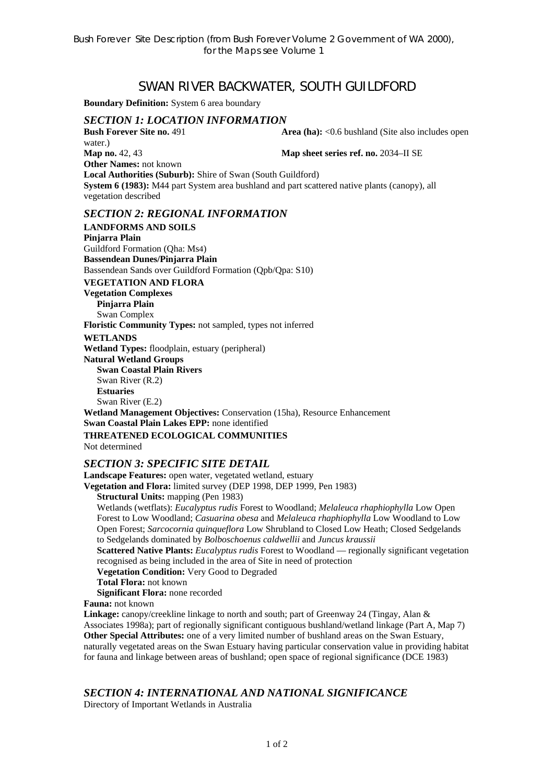# SWAN RIVER BACKWATER, SOUTH GUILDFORD

**Boundary Definition:** System 6 area boundary

## *SECTION 1: LOCATION INFORMATION*

**Bush Forever Site no. 491 <b>Area (ha):** <0.6 bushland (Site also includes open

water.) **Map no.** 42, 43 **Map sheet series ref. no.** 2034–II SE **Other Names:** not known **Local Authorities (Suburb):** Shire of Swan (South Guildford) **System 6 (1983):** M44 part System area bushland and part scattered native plants (canopy), all vegetation described

## *SECTION 2: REGIONAL INFORMATION*

**LANDFORMS AND SOILS Pinjarra Plain**  Guildford Formation (Qha: Ms4) **Bassendean Dunes/Pinjarra Plain**  Bassendean Sands over Guildford Formation (Qpb/Qpa: S10) **VEGETATION AND FLORA Vegetation Complexes Pinjarra Plain**  Swan Complex **Floristic Community Types:** not sampled, types not inferred **WETLANDS Wetland Types:** floodplain, estuary (peripheral) **Natural Wetland Groups Swan Coastal Plain Rivers**  Swan River (R.2) **Estuaries**  Swan River (E.2) **Wetland Management Objectives:** Conservation (15ha), Resource Enhancement **Swan Coastal Plain Lakes EPP:** none identified

**THREATENED ECOLOGICAL COMMUNITIES**  Not determined

#### *SECTION 3: SPECIFIC SITE DETAIL*

**Landscape Features:** open water, vegetated wetland, estuary

**Vegetation and Flora:** limited survey (DEP 1998, DEP 1999, Pen 1983)

**Structural Units:** mapping (Pen 1983)

Wetlands (wetflats): *Eucalyptus rudis* Forest to Woodland; *Melaleuca rhaphiophylla* Low Open Forest to Low Woodland; *Casuarina obesa* and *Melaleuca rhaphiophylla* Low Woodland to Low Open Forest; *Sarcocornia quinqueflora* Low Shrubland to Closed Low Heath; Closed Sedgelands to Sedgelands dominated by *Bolboschoenus caldwellii* and *Juncus kraussii* 

**Scattered Native Plants:** *Eucalyptus rudis* Forest to Woodland — regionally significant vegetation recognised as being included in the area of Site in need of protection

**Vegetation Condition:** Very Good to Degraded

**Total Flora:** not known

**Significant Flora:** none recorded

**Fauna:** not known

**Linkage:** canopy/creekline linkage to north and south; part of Greenway 24 (Tingay, Alan & Associates 1998a); part of regionally significant contiguous bushland/wetland linkage (Part A, Map 7) **Other Special Attributes:** one of a very limited number of bushland areas on the Swan Estuary, naturally vegetated areas on the Swan Estuary having particular conservation value in providing habitat for fauna and linkage between areas of bushland; open space of regional significance (DCE 1983)

#### *SECTION 4: INTERNATIONAL AND NATIONAL SIGNIFICANCE*

Directory of Important Wetlands in Australia